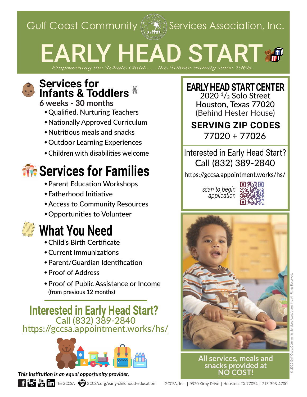Gulf Coast Community  $\left(\mathbb{R}^d\right)$  Services Association, Inc.

# EARLY HEAD START &

*Empowering the Whole Child . . . the Whole Family since 1965.*

### **Services for Infants & Toddlers**

**6 weeks - 30 months**

- Qualified, Nurturing Teachers
- Nationally Approved Curriculum
- Nutritious meals and snacks
- Outdoor Learning Experiences
- Children with disabilities welcome

## **Services for Families**

- Parent Education Workshops
- Fatherhood Initiative
- Access to Community Resources
- Opportunities to Volunteer

## **What You Need**

- Child's Birth Certificate
- Current Immunizations
- Parent/Guardian Identification
- Proof of Address
- Proof of Public Assistance or Income (from previous 12 months)

**Interested in Early Head Start?** Call (832) 389-2840 <https://gccsa.appointment.works/hs/>



#### *This institution is an equal opportunity provider.*



**EARLY HEAD START CENTER**  $2020$ <sup> $1/2$ </sup> Solo Street

Houston, Texas 77020 (Behind Hester House)

#### **SERVING ZIP CODES** 77020 + 77026

Interested in Early Head Start? Call (832) 389-2840

https://gccsa.appointment.works/hs/

*scan to begin application*





© 2022 Gulf Coast Community Services Association, Inc. All Rights Reserved.